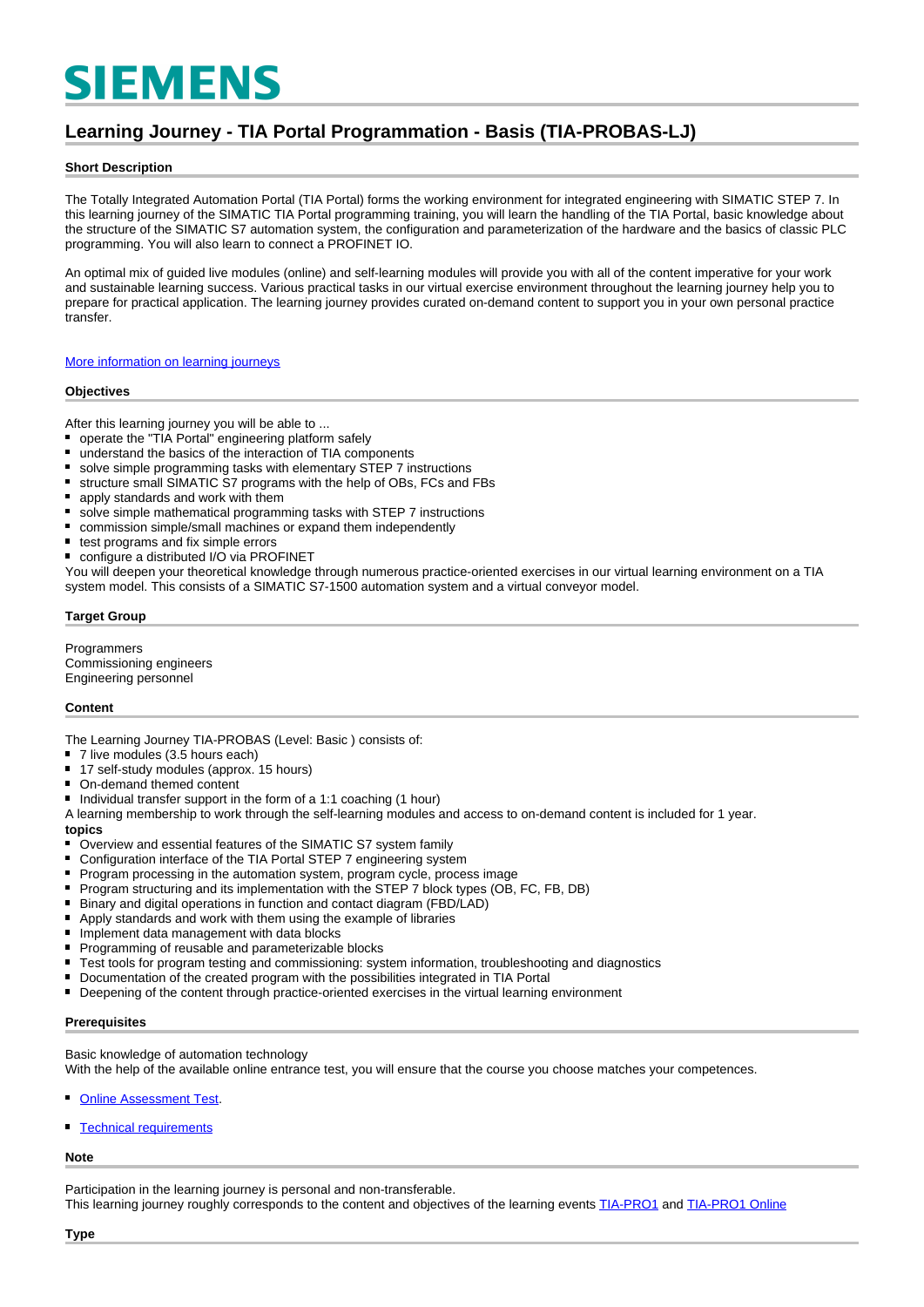# **SIEMENS**

## **Learning Journey - TIA Portal Programmation - Basis (TIA-PROBAS-LJ)**

#### **Short Description**

The Totally Integrated Automation Portal (TIA Portal) forms the working environment for integrated engineering with SIMATIC STEP 7. In this learning journey of the SIMATIC TIA Portal programming training, you will learn the handling of the TIA Portal, basic knowledge about the structure of the SIMATIC S7 automation system, the configuration and parameterization of the hardware and the basics of classic PLC programming. You will also learn to connect a PROFINET IO.

An optimal mix of guided live modules (online) and self-learning modules will provide you with all of the content imperative for your work and sustainable learning success. Various practical tasks in our virtual exercise environment throughout the learning journey help you to prepare for practical application. The learning journey provides curated on-demand content to support you in your own personal practice transfer.

[More information on learning journeys](https://www.sitrain-learning.siemens.com/DE/en/rw40015/SITRAIN-Learning-Journey)

#### **Objectives**

After this learning journey you will be able to ...

- $\blacksquare$ operate the "TIA Portal" engineering platform safely
- understand the basics of the interaction of TIA components  $\blacksquare$
- solve simple programming tasks with elementary STEP 7 instructions
- $\blacksquare$ structure small SIMATIC S7 programs with the help of OBs, FCs and FBs
- apply standards and work with them
- solve simple mathematical programming tasks with STEP 7 instructions  $\blacksquare$
- $\blacksquare$ commission simple/small machines or expand them independently
- $\blacksquare$ test programs and fix simple errors
- configure a distributed I/O via PROFINET

You will deepen your theoretical knowledge through numerous practice-oriented exercises in our virtual learning environment on a TIA system model. This consists of a SIMATIC S7-1500 automation system and a virtual conveyor model.

#### **Target Group**

Programmers Commissioning engineers Engineering personnel

#### **Content**

The Learning Journey TIA-PROBAS (Level: Basic ) consists of:

- 7 live modules (3.5 hours each)
- 17 self-study modules (approx. 15 hours)
- On-demand themed content
- $\blacksquare$ Individual transfer support in the form of a 1:1 coaching (1 hour)

A learning membership to work through the self-learning modules and access to on-demand content is included for 1 year. **topics**

- Overview and essential features of the SIMATIC S7 system family
- Configuration interface of the TIA Portal STEP 7 engineering system
- $\blacksquare$ Program processing in the automation system, program cycle, process image
- $\blacksquare$ Program structuring and its implementation with the STEP 7 block types (OB, FC, FB, DB)
- Binary and digital operations in function and contact diagram (FBD/LAD)
- $\blacksquare$ Apply standards and work with them using the example of libraries
- $\blacksquare$ Implement data management with data blocks
- $\blacksquare$ Programming of reusable and parameterizable blocks
- $\blacksquare$ Test tools for program testing and commissioning: system information, troubleshooting and diagnostics
- Documentation of the created program with the possibilities integrated in TIA Portal
- Deepening of the content through practice-oriented exercises in the virtual learning environment  $\blacksquare$

#### **Prerequisites**

Basic knowledge of automation technology

With the help of the available online entrance test, you will ensure that the course you choose matches your competences.

- [Online Assessment Test.](https://wbt.siemens.com/sitrain/TIA-PRO1_EN/)
- [Technical requirements](https://www.sitrain-learning.siemens.com/DE/en/content/SITRAIN-Learning-Journey/Technical-requirements-learning-journey.do)

#### **Note**

Participation in the learning journey is personal and non-transferable.

This learning journey roughly corresponds to the content and objectives of the learning events [TIA-PRO1](https://www.sitrain-learning.siemens.com/DE/en/rw89904/SIMATIC-Programming-1-in-the-TIA-Portal) and [TIA-PRO1 Online](https://www.sitrain-learning.siemens.com/DE/en/rw73398/Online-Training-SIMATIC-Programming-1-in-the-TIA-Portal)